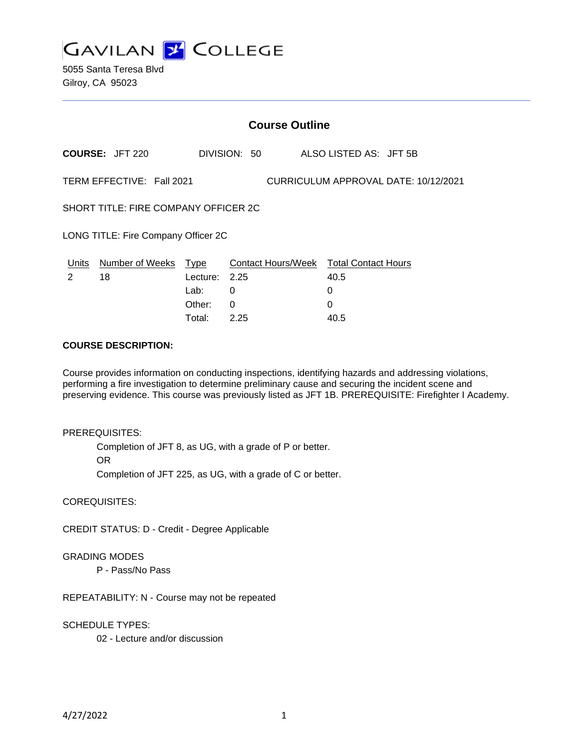**GAVILAN J COLLEGE** 

5055 Santa Teresa Blvd Gilroy, CA 95023

| <b>Course Outline</b>                                             |                             |                  |                                                |      |                        |
|-------------------------------------------------------------------|-----------------------------|------------------|------------------------------------------------|------|------------------------|
|                                                                   | <b>COURSE: JFT 220</b>      |                  | DIVISION: 50                                   |      | ALSO LISTED AS: JFT 5B |
| TERM EFFECTIVE: Fall 2021<br>CURRICULUM APPROVAL DATE: 10/12/2021 |                             |                  |                                                |      |                        |
| SHORT TITLE: FIRE COMPANY OFFICER 2C                              |                             |                  |                                                |      |                        |
| LONG TITLE: Fire Company Officer 2C                               |                             |                  |                                                |      |                        |
| $\mathcal{P}$                                                     | Units Number of Weeks<br>18 | Type<br>Lecture: | Contact Hours/Week Total Contact Hours<br>2.25 | 40.5 |                        |
|                                                                   |                             | Lab:             | 0                                              | 0    |                        |
|                                                                   |                             | Other:           | 0                                              | 0    |                        |
|                                                                   |                             | Total:           | 2.25                                           | 40.5 |                        |

### **COURSE DESCRIPTION:**

Course provides information on conducting inspections, identifying hazards and addressing violations, performing a fire investigation to determine preliminary cause and securing the incident scene and preserving evidence. This course was previously listed as JFT 1B. PREREQUISITE: Firefighter I Academy.

#### PREREQUISITES:

Completion of JFT 8, as UG, with a grade of P or better. OR Completion of JFT 225, as UG, with a grade of C or better.

COREQUISITES:

CREDIT STATUS: D - Credit - Degree Applicable

GRADING MODES

P - Pass/No Pass

REPEATABILITY: N - Course may not be repeated

SCHEDULE TYPES:

02 - Lecture and/or discussion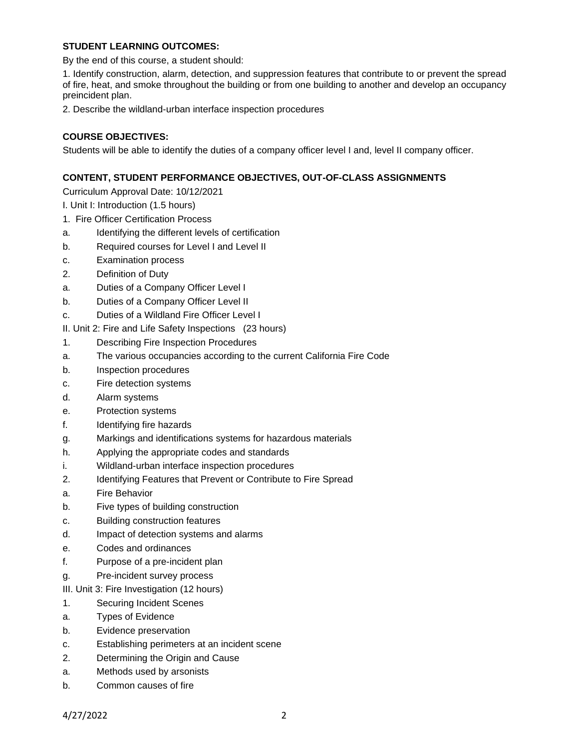# **STUDENT LEARNING OUTCOMES:**

By the end of this course, a student should:

1. Identify construction, alarm, detection, and suppression features that contribute to or prevent the spread of fire, heat, and smoke throughout the building or from one building to another and develop an occupancy preincident plan.

2. Describe the wildland-urban interface inspection procedures

### **COURSE OBJECTIVES:**

Students will be able to identify the duties of a company officer level I and, level II company officer.

### **CONTENT, STUDENT PERFORMANCE OBJECTIVES, OUT-OF-CLASS ASSIGNMENTS**

Curriculum Approval Date: 10/12/2021

- I. Unit I: Introduction (1.5 hours)
- 1. Fire Officer Certification Process
- a. Identifying the different levels of certification
- b. Required courses for Level I and Level II
- c. Examination process
- 2. Definition of Duty
- a. Duties of a Company Officer Level I
- b. Duties of a Company Officer Level II
- c. Duties of a Wildland Fire Officer Level I

II. Unit 2: Fire and Life Safety Inspections (23 hours)

- 1. Describing Fire Inspection Procedures
- a. The various occupancies according to the current California Fire Code
- b. Inspection procedures
- c. Fire detection systems
- d. Alarm systems
- e. Protection systems
- f. Identifying fire hazards
- g. Markings and identifications systems for hazardous materials
- h. Applying the appropriate codes and standards
- i. Wildland-urban interface inspection procedures
- 2. Identifying Features that Prevent or Contribute to Fire Spread
- a. Fire Behavior
- b. Five types of building construction
- c. Building construction features
- d. Impact of detection systems and alarms
- e. Codes and ordinances
- f. Purpose of a pre-incident plan
- g. Pre-incident survey process
- III. Unit 3: Fire Investigation (12 hours)
- 1. Securing Incident Scenes
- a. Types of Evidence
- b. Evidence preservation
- c. Establishing perimeters at an incident scene
- 2. Determining the Origin and Cause
- a. Methods used by arsonists
- b. Common causes of fire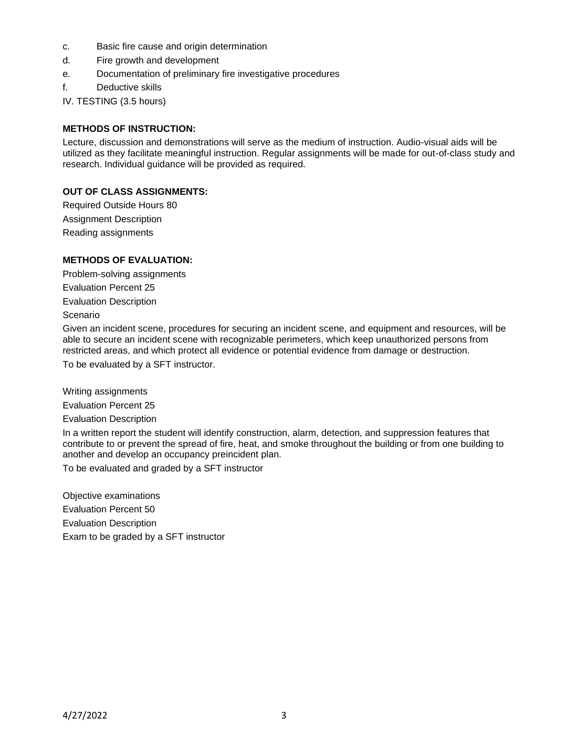- c. Basic fire cause and origin determination
- d. Fire growth and development
- e. Documentation of preliminary fire investigative procedures
- f. Deductive skills

IV. TESTING (3.5 hours)

### **METHODS OF INSTRUCTION:**

Lecture, discussion and demonstrations will serve as the medium of instruction. Audio-visual aids will be utilized as they facilitate meaningful instruction. Regular assignments will be made for out-of-class study and research. Individual guidance will be provided as required.

### **OUT OF CLASS ASSIGNMENTS:**

Required Outside Hours 80 Assignment Description Reading assignments

### **METHODS OF EVALUATION:**

Problem-solving assignments Evaluation Percent 25 Evaluation Description Scenario

Given an incident scene, procedures for securing an incident scene, and equipment and resources, will be able to secure an incident scene with recognizable perimeters, which keep unauthorized persons from restricted areas, and which protect all evidence or potential evidence from damage or destruction. To be evaluated by a SFT instructor.

Writing assignments

Evaluation Percent 25

Evaluation Description

In a written report the student will identify construction, alarm, detection, and suppression features that contribute to or prevent the spread of fire, heat, and smoke throughout the building or from one building to another and develop an occupancy preincident plan.

To be evaluated and graded by a SFT instructor

Objective examinations Evaluation Percent 50 Evaluation Description Exam to be graded by a SFT instructor